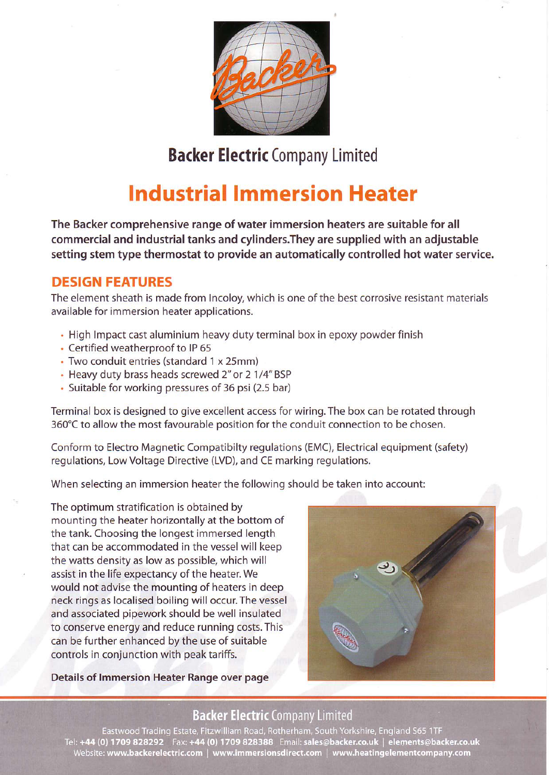

# Backer Electric Company Limited

# **Industrial Immersion Heater**

The Backer comprehensive range of water immersion heaters are suitable for all commercial and industrial tanks and cylinders.They are supplied with an adjustable setting stem type thermostat to provide an automatically controlled hot water service.

### DESIGN FEATURES

The element sheath is made from Incoloy, which is one of the best corrosive resistant materials available for immersion heater applications.

- . High Impact cast aluminium heavy duty terminal box in epoxy powder finish
- Certified weatherproof to IP 65
- . Two conduit entries (standard 1 x 25mm)
- . Heavy duty brass heads screwed 2" or 2 1/4" BSP
- . Suitable for working pressures of 36 psi (2.5 bar)

Terminal box is designed to give excellent access for wiring. The box can be rotated through 360℃ to allow the most favourable position for the conduit connection to be chosen.

Conform to Electro Magnetic Compatibilty regulations (EMC), Electrical equipment (safety) regulations, Low Voltage Directive (LVD), and CE marking regulations,

When selecting an immersion heater the following should be taken into account:

The optimum stratification is obtained by mounting the heater horizontally at the bottom of the tank. Choosing the longest immersed length that can be accommodated in the vessel will keep the watts density as low as possible, which will assist in the life expectancy of the heater. We would not advise the mounting of heaters in deep neck rings as localised boiling will occur.The vessel and associated pipework should be well insulated to conserve energy and reduce running costs.This can be further enhanced by the use of suitable controls in conjunction with peak tariffs.

Details of lmmersion Heater Range over page



## **Backer Electric Company Limited**

Eastwood Trading Estate, Fitzwilliam Road, Rotherham, South Yorkshire, England S65 1TF Tel: +44 (0) 1709 828292 Fax: +44 (0) 1709 828388 Email: sales@backer.co.uk | elements@backer.co.uk Website: www.backerelectric.com | www.immersionsdirect.com | www.heatingelementcompany.com